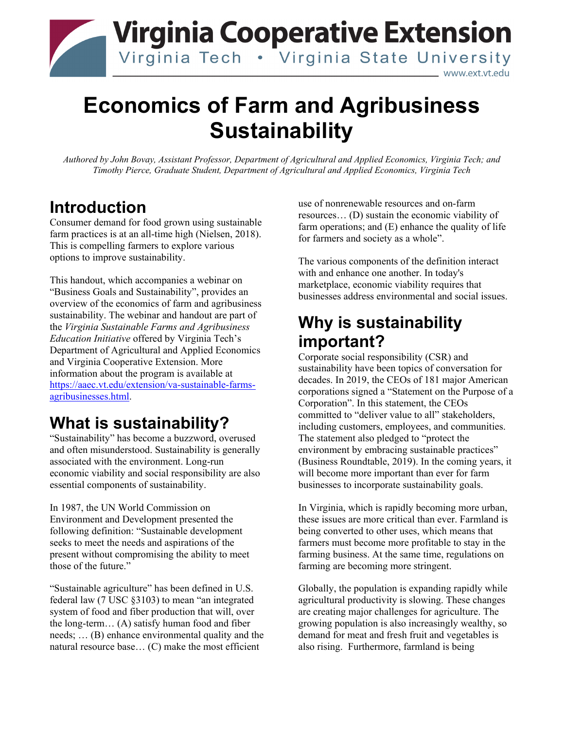

# **Economics of Farm and Agribusiness Sustainability**

*Authored by John Bovay, Assistant Professor, Department of Agricultural and Applied Economics, Virginia Tech; and Timothy Pierce, Graduate Student, Department of Agricultural and Applied Economics, Virginia Tech*

#### **Introduction**

Consumer demand for food grown using sustainable farm practices is at an all-time high (Nielsen, 2018). This is compelling farmers to explore various options to improve sustainability.

This handout, which accompanies a webinar on "Business Goals and Sustainability", provides an overview of the economics of farm and agribusiness sustainability. The webinar and handout are part of the *Virginia Sustainable Farms and Agribusiness Education Initiative* offered by Virginia Tech's Department of Agricultural and Applied Economics and Virginia Cooperative Extension. More information about the program is available at [https://aaec.vt.edu/extension/va-sustainable-farms](https://aaec.vt.edu/extension/va-sustainable-farms-agribusinesses.html)[agribusinesses.html.](https://aaec.vt.edu/extension/va-sustainable-farms-agribusinesses.html)

## **What is sustainability?**

"Sustainability" has become a buzzword, overused and often misunderstood. Sustainability is generally associated with the environment. Long-run economic viability and social responsibility are also essential components of sustainability.

In 1987, the UN World Commission on Environment and Development presented the following definition: "Sustainable development seeks to meet the needs and aspirations of the present without compromising the ability to meet those of the future."

"Sustainable agriculture" has been defined in U.S. federal law (7 USC §3103) to mean "an integrated system of food and fiber production that will, over the long-term… (A) satisfy human food and fiber needs; … (B) enhance environmental quality and the natural resource base… (C) make the most efficient

use of nonrenewable resources and on-farm resources… (D) sustain the economic viability of farm operations; and  $(E)$  enhance the quality of life for farmers and society as a whole".

The various components of the definition interact with and enhance one another. In today's marketplace, economic viability requires that businesses address environmental and social issues.

### **Why is sustainability important?**

Corporate social responsibility (CSR) and sustainability have been topics of conversation for decades. In 2019, the CEOs of 181 major American corporations signed a "Statement on the Purpose of a Corporation". In this statement, the CEOs committed to "deliver value to all" stakeholders, including customers, employees, and communities. The statement also pledged to "protect the environment by embracing sustainable practices" (Business Roundtable, 2019). In the coming years, it will become more important than ever for farm businesses to incorporate sustainability goals.

In Virginia, which is rapidly becoming more urban, these issues are more critical than ever. Farmland is being converted to other uses, which means that farmers must become more profitable to stay in the farming business. At the same time, regulations on farming are becoming more stringent.

Globally, the population is expanding rapidly while agricultural productivity is slowing. These changes are creating major challenges for agriculture. The growing population is also increasingly wealthy, so demand for meat and fresh fruit and vegetables is also rising. Furthermore, farmland is being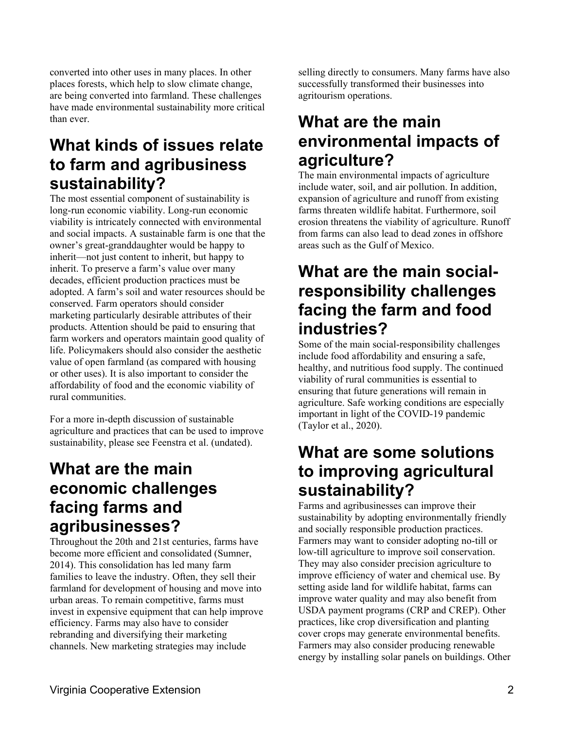converted into other uses in many places. In other places forests, which help to slow climate change, are being converted into farmland. These challenges have made environmental sustainability more critical than ever.

#### **What kinds of issues relate to farm and agribusiness sustainability?**

The most essential component of sustainability is long-run economic viability. Long-run economic viability is intricately connected with environmental and social impacts. A sustainable farm is one that the owner's great-granddaughter would be happy to inherit—not just content to inherit, but happy to inherit. To preserve a farm's value over many decades, efficient production practices must be adopted. A farm's soil and water resources should be conserved. Farm operators should consider marketing particularly desirable attributes of their products. Attention should be paid to ensuring that farm workers and operators maintain good quality of life. Policymakers should also consider the aesthetic value of open farmland (as compared with housing or other uses). It is also important to consider the affordability of food and the economic viability of rural communities.

For a more in-depth discussion of sustainable agriculture and practices that can be used to improve sustainability, please see Feenstra et al. (undated).

#### **What are the main economic challenges facing farms and agribusinesses?**

Throughout the 20th and 21st centuries, farms have become more efficient and consolidated (Sumner, 2014). This consolidation has led many farm families to leave the industry. Often, they sell their farmland for development of housing and move into urban areas. To remain competitive, farms must invest in expensive equipment that can help improve efficiency. Farms may also have to consider rebranding and diversifying their marketing channels. New marketing strategies may include

selling directly to consumers. Many farms have also successfully transformed their businesses into agritourism operations.

#### **What are the main environmental impacts of agriculture?**

The main environmental impacts of agriculture include water, soil, and air pollution. In addition, expansion of agriculture and runoff from existing farms threaten wildlife habitat. Furthermore, soil erosion threatens the viability of agriculture. Runoff from farms can also lead to dead zones in offshore areas such as the Gulf of Mexico.

#### **What are the main socialresponsibility challenges facing the farm and food industries?**

Some of the main social-responsibility challenges include food affordability and ensuring a safe, healthy, and nutritious food supply. The continued viability of rural communities is essential to ensuring that future generations will remain in agriculture. Safe working conditions are especially important in light of the COVID-19 pandemic (Taylor et al., 2020).

#### **What are some solutions to improving agricultural sustainability?**

Farms and agribusinesses can improve their sustainability by adopting environmentally friendly and socially responsible production practices. Farmers may want to consider adopting no-till or low-till agriculture to improve soil conservation. They may also consider precision agriculture to improve efficiency of water and chemical use. By setting aside land for wildlife habitat, farms can improve water quality and may also benefit from USDA payment programs (CRP and CREP). Other practices, like crop diversification and planting cover crops may generate environmental benefits. Farmers may also consider producing renewable energy by installing solar panels on buildings. Other